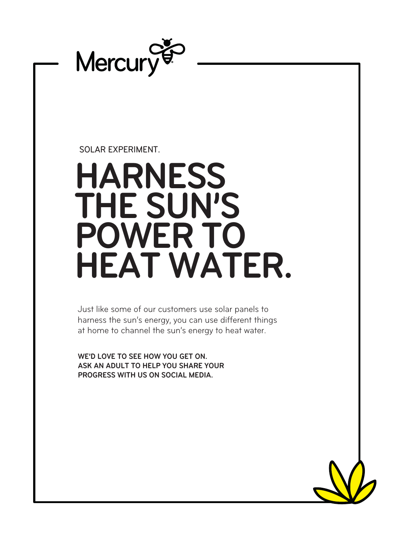

SOLAR EXPERIMENT.

## **HARNESS THE SUN'S POWER TO HEAT WATER.**

Just like some of our customers use solar panels to harness the sun's energy, you can use different things at home to channel the sun's energy to heat water.

**WE'D LOVE TO SEE HOW YOU GET ON. ASK AN ADULT TO HELP YOU SHARE YOUR PROGRESS WITH US ON SOCIAL MEDIA.**

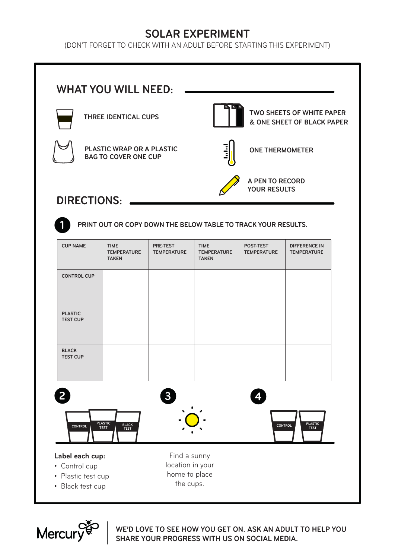## **SOLAR EXPERIMENT**

(DON'T FORGET TO CHECK WITH AN ADULT BEFORE STARTING THIS EXPERIMENT)

| <b>THREE IDENTICAL CUPS</b><br><b>PLASTIC WRAP OR A PLASTIC</b><br><b>BAG TO COVER ONE CUP</b><br><b>DIRECTIONS:</b> |                                                              |                                                   | <b>TWO SHEETS OF WHITE PAPER</b><br>& ONE SHEET OF BLACK PAPER<br><b>Index</b><br><b>ONE THERMOMETER</b><br><b>A PEN TO RECORD</b><br><b>YOUR RESULTS</b> |  |                                                 |                 |                                                   |                                                               |                                                   |                                 |                                            |
|----------------------------------------------------------------------------------------------------------------------|--------------------------------------------------------------|---------------------------------------------------|-----------------------------------------------------------------------------------------------------------------------------------------------------------|--|-------------------------------------------------|-----------------|---------------------------------------------------|---------------------------------------------------------------|---------------------------------------------------|---------------------------------|--------------------------------------------|
|                                                                                                                      |                                                              |                                                   |                                                                                                                                                           |  |                                                 |                 |                                                   | PRINT OUT OR COPY DOWN THE BELOW TABLE TO TRACK YOUR RESULTS. |                                                   |                                 |                                            |
|                                                                                                                      |                                                              |                                                   |                                                                                                                                                           |  |                                                 | <b>CUP NAME</b> | <b>TIME</b><br><b>TEMPERATURE</b><br><b>TAKEN</b> | <b>PRE-TEST</b><br><b>TEMPERATURE</b>                         | <b>TIME</b><br><b>TEMPERATURE</b><br><b>TAKEN</b> | POST-TEST<br><b>TEMPERATURE</b> | <b>DIFFERENCE IN</b><br><b>TEMPERATURE</b> |
| <b>CONTROL CUP</b>                                                                                                   |                                                              |                                                   |                                                                                                                                                           |  |                                                 |                 |                                                   |                                                               |                                                   |                                 |                                            |
| <b>PLASTIC</b><br><b>TEST CUP</b>                                                                                    |                                                              |                                                   |                                                                                                                                                           |  |                                                 |                 |                                                   |                                                               |                                                   |                                 |                                            |
| <b>BLACK</b><br><b>TEST CUP</b>                                                                                      |                                                              |                                                   |                                                                                                                                                           |  |                                                 |                 |                                                   |                                                               |                                                   |                                 |                                            |
| $\overline{2}$                                                                                                       |                                                              |                                                   |                                                                                                                                                           |  |                                                 |                 |                                                   |                                                               |                                                   |                                 |                                            |
|                                                                                                                      |                                                              | 3                                                 |                                                                                                                                                           |  |                                                 |                 |                                                   |                                                               |                                                   |                                 |                                            |
| <b>CONTROL</b>                                                                                                       | <b>PLASTIC</b><br><b>BLACK</b><br><b>TEST</b><br><b>TEST</b> |                                                   |                                                                                                                                                           |  | <b>PLASTIC</b><br><b>CONTROL</b><br><b>TEST</b> |                 |                                                   |                                                               |                                                   |                                 |                                            |
| Label each cup:<br>• Control cup                                                                                     |                                                              | Find a sunny<br>location in your<br>home to place |                                                                                                                                                           |  |                                                 |                 |                                                   |                                                               |                                                   |                                 |                                            |



**WE'D LOVE TO SEE HOW YOU GET ON. ASK AN ADULT TO HELP YOU SHARE YOUR PROGRESS WITH US ON SOCIAL MEDIA.**